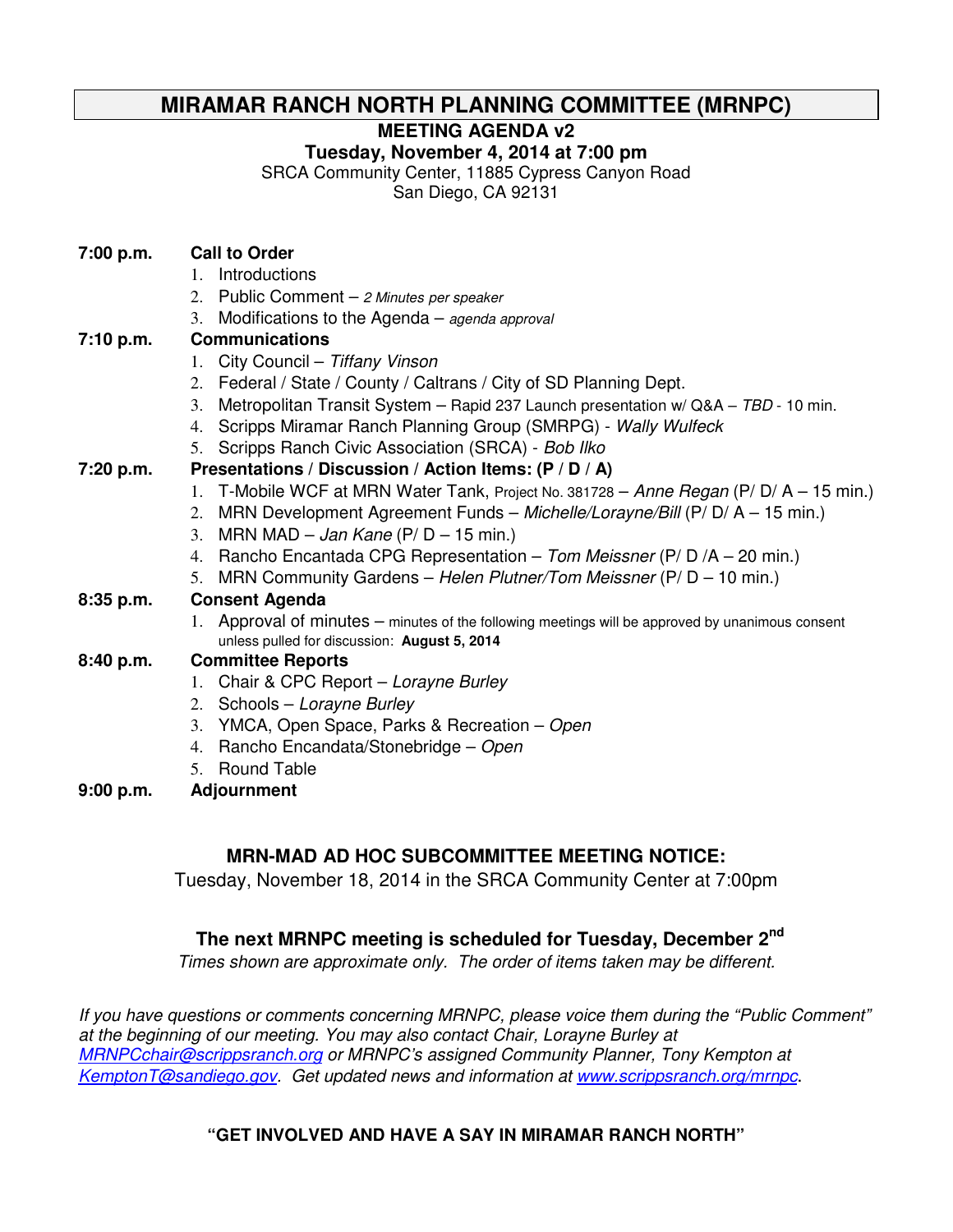# **MIRAMAR RANCH NORTH PLANNING COMMITTEE (MRNPC)**

**MEETING AGENDA v2** 

**Tuesday, November 4, 2014 at 7:00 pm** 

SRCA Community Center, 11885 Cypress Canyon Road

San Diego, CA 92131

# **7:00 p.m. Call to Order**

- 1. Introductions
- 2. Public Comment  $-$  2 Minutes per speaker
- 3. Modifications to the Agenda agenda approval

## **7:10 p.m. Communications**

- 1. City Council Tiffany Vinson
- 2. Federal / State / County / Caltrans / City of SD Planning Dept.
- 3. Metropolitan Transit System Rapid 237 Launch presentation w/ Q&A TBD 10 min.
- 4. Scripps Miramar Ranch Planning Group (SMRPG) Wally Wulfeck
- 5. Scripps Ranch Civic Association (SRCA) Bob Ilko

# **7:20 p.m. Presentations / Discussion / Action Items: (P / D / A)**

- 1. T-Mobile WCF at MRN Water Tank, Project No. 381728 Anne Regan (P/ D/ A 15 min.)
- 2. MRN Development Agreement Funds Michelle/Lorayne/Bill (P/ D/ A 15 min.)
- 3. MRN MAD Jan Kane (P/ $D 15$  min.)
- 4. Rancho Encantada CPG Representation  $-$  Tom Meissner (P/D /A  $-$  20 min.)
- 5. MRN Community Gardens Helen Plutner/Tom Meissner (P/ D 10 min.)

# **8:35 p.m. Consent Agenda**

1. Approval of minutes – minutes of the following meetings will be approved by unanimous consent unless pulled for discussion: **August 5, 2014**

## **8:40 p.m. Committee Reports**

- 1. Chair & CPC Report Lorayne Burley
- 2. Schools Lorayne Burley
- 3. YMCA, Open Space, Parks & Recreation Open
- 4. Rancho Encandata/Stonebridge Open
- 5. Round Table
- **9:00 p.m. Adjournment**

# **MRN-MAD AD HOC SUBCOMMITTEE MEETING NOTICE:**

Tuesday, November 18, 2014 in the SRCA Community Center at 7:00pm

# **The next MRNPC meeting is scheduled for Tuesday, December 2nd**

Times shown are approximate only. The order of items taken may be different.

If you have questions or comments concerning MRNPC, please voice them during the "Public Comment" at the beginning of our meeting. You may also contact Chair, Lorayne Burley at MRNPCchair@scrippsranch.org or MRNPC's assigned Community Planner, Tony Kempton at KemptonT@sandiego.gov. Get updated news and information at www.scrippsranch.org/mrnpc.

# **"GET INVOLVED AND HAVE A SAY IN MIRAMAR RANCH NORTH"**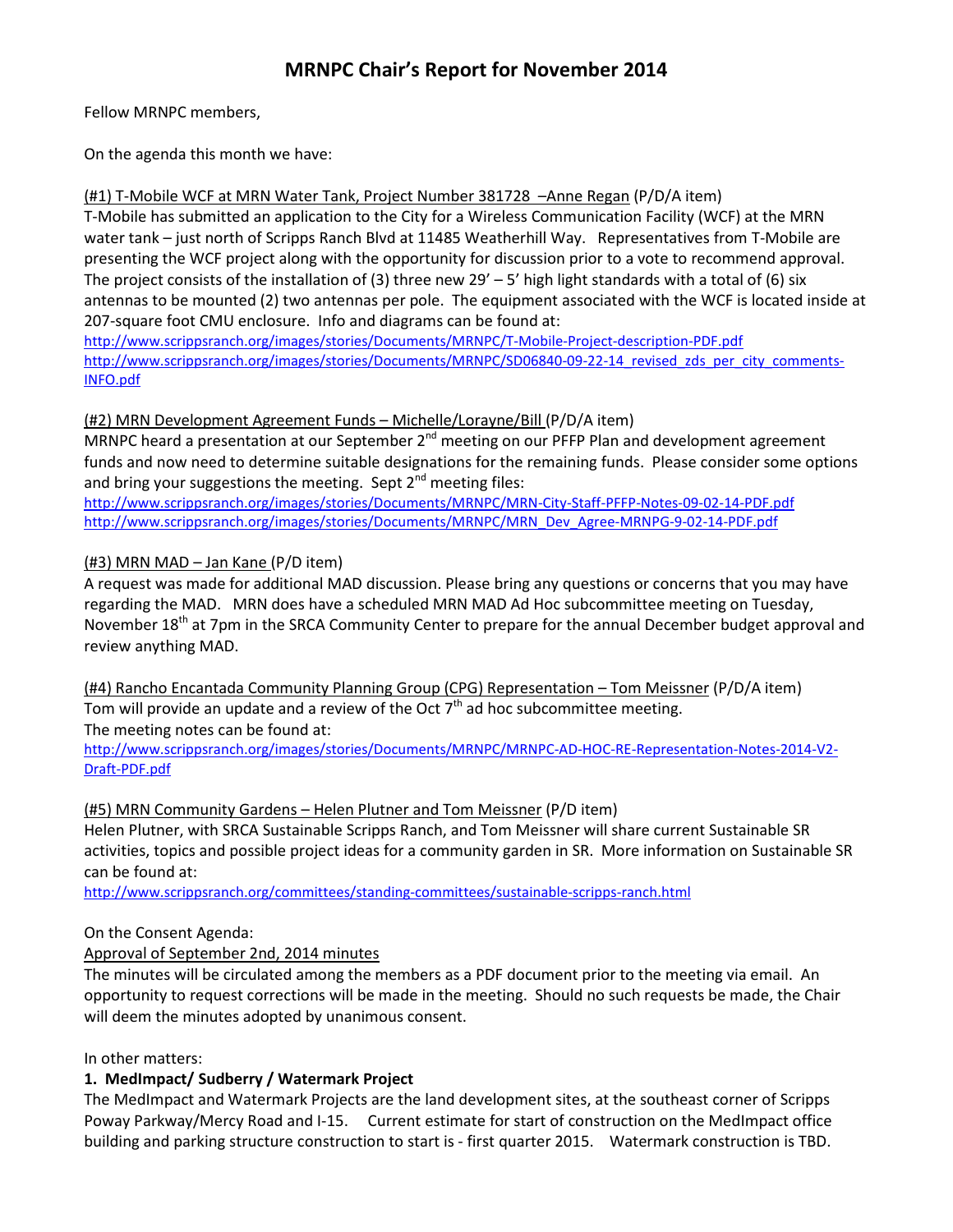# MRNPC Chair's Report for November 2014

Fellow MRNPC members,

On the agenda this month we have:

### (#1) T-Mobile WCF at MRN Water Tank, Project Number 381728 –Anne Regan (P/D/A item)

T-Mobile has submitted an application to the City for a Wireless Communication Facility (WCF) at the MRN water tank – just north of Scripps Ranch Blvd at 11485 Weatherhill Way. Representatives from T-Mobile are presenting the WCF project along with the opportunity for discussion prior to a vote to recommend approval. The project consists of the installation of (3) three new  $29' - 5'$  high light standards with a total of (6) six antennas to be mounted (2) two antennas per pole. The equipment associated with the WCF is located inside at 207-square foot CMU enclosure. Info and diagrams can be found at:

http://www.scrippsranch.org/images/stories/Documents/MRNPC/T-Mobile-Project-description-PDF.pdf http://www.scrippsranch.org/images/stories/Documents/MRNPC/SD06840-09-22-14 revised zds per city comments-INFO.pdf

### (#2) MRN Development Agreement Funds – Michelle/Lorayne/Bill (P/D/A item)

MRNPC heard a presentation at our September 2<sup>nd</sup> meeting on our PFFP Plan and development agreement funds and now need to determine suitable designations for the remaining funds. Please consider some options and bring your suggestions the meeting. Sept  $2^{nd}$  meeting files:

http://www.scrippsranch.org/images/stories/Documents/MRNPC/MRN-City-Staff-PFFP-Notes-09-02-14-PDF.pdf http://www.scrippsranch.org/images/stories/Documents/MRNPC/MRN\_Dev\_Agree-MRNPG-9-02-14-PDF.pdf

## (#3) MRN MAD – Jan Kane (P/D item)

A request was made for additional MAD discussion. Please bring any questions or concerns that you may have regarding the MAD. MRN does have a scheduled MRN MAD Ad Hoc subcommittee meeting on Tuesday, November 18<sup>th</sup> at 7pm in the SRCA Community Center to prepare for the annual December budget approval and review anything MAD.

(#4) Rancho Encantada Community Planning Group (CPG) Representation – Tom Meissner (P/D/A item) Tom will provide an update and a review of the Oct  $7<sup>th</sup>$  ad hoc subcommittee meeting.

The meeting notes can be found at:

http://www.scrippsranch.org/images/stories/Documents/MRNPC/MRNPC-AD-HOC-RE-Representation-Notes-2014-V2- Draft-PDF.pdf

#### (#5) MRN Community Gardens – Helen Plutner and Tom Meissner (P/D item)

Helen Plutner, with SRCA Sustainable Scripps Ranch, and Tom Meissner will share current Sustainable SR activities, topics and possible project ideas for a community garden in SR. More information on Sustainable SR can be found at:

http://www.scrippsranch.org/committees/standing-committees/sustainable-scripps-ranch.html

## On the Consent Agenda:

Approval of September 2nd, 2014 minutes

The minutes will be circulated among the members as a PDF document prior to the meeting via email. An opportunity to request corrections will be made in the meeting. Should no such requests be made, the Chair will deem the minutes adopted by unanimous consent.

In other matters:

## 1. MedImpact/ Sudberry / Watermark Project

The MedImpact and Watermark Projects are the land development sites, at the southeast corner of Scripps Poway Parkway/Mercy Road and I-15. Current estimate for start of construction on the MedImpact office building and parking structure construction to start is - first quarter 2015. Watermark construction is TBD.